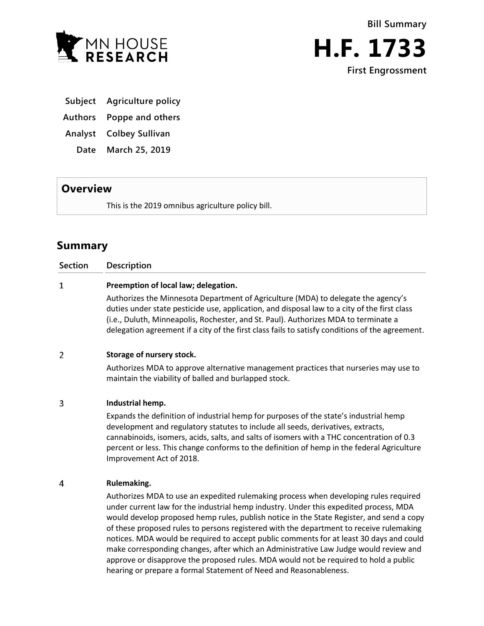



**Subject Agriculture policy**

**Authors Poppe and others**

**Analyst Colbey Sullivan**

**Date March 25, 2019**

## **Overview**

This is the 2019 omnibus agriculture policy bill.

# **Summary**

**Section Description**

### $\mathbf{1}$ **Preemption of local law; delegation.**

Authorizes the Minnesota Department of Agriculture (MDA) to delegate the agency's duties under state pesticide use, application, and disposal law to a city of the first class (i.e., Duluth, Minneapolis, Rochester, and St. Paul). Authorizes MDA to terminate a delegation agreement if a city of the first class fails to satisfy conditions of the agreement.

#### $\overline{2}$ **Storage of nursery stock.**

Authorizes MDA to approve alternative management practices that nurseries may use to maintain the viability of balled and burlapped stock.

#### 3 **Industrial hemp.**

Expands the definition of industrial hemp for purposes of the state's industrial hemp development and regulatory statutes to include all seeds, derivatives, extracts, cannabinoids, isomers, acids, salts, and salts of isomers with a THC concentration of 0.3 percent or less. This change conforms to the definition of hemp in the federal Agriculture Improvement Act of 2018.

#### $\overline{4}$ **Rulemaking.**

Authorizes MDA to use an expedited rulemaking process when developing rules required under current law for the industrial hemp industry. Under this expedited process, MDA would develop proposed hemp rules, publish notice in the State Register, and send a copy of these proposed rules to persons registered with the department to receive rulemaking notices. MDA would be required to accept public comments for at least 30 days and could make corresponding changes, after which an Administrative Law Judge would review and approve or disapprove the proposed rules. MDA would not be required to hold a public hearing or prepare a formal Statement of Need and Reasonableness.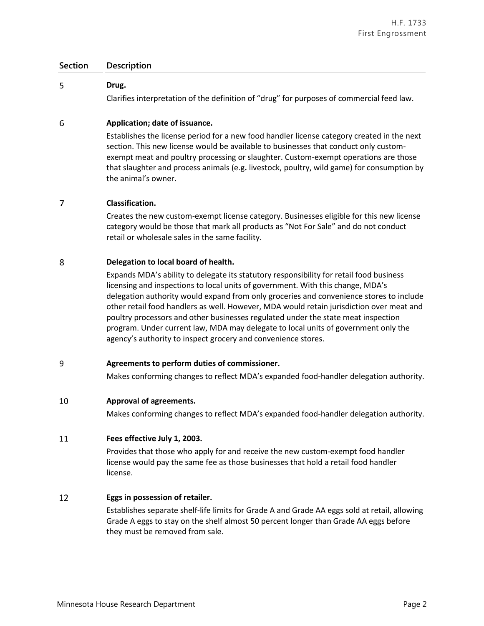#### 5 **Drug.**

Clarifies interpretation of the definition of "drug" for purposes of commercial feed law.

#### 6 **Application; date of issuance.**

Establishes the license period for a new food handler license category created in the next section. This new license would be available to businesses that conduct only customexempt meat and poultry processing or slaughter. Custom-exempt operations are those that slaughter and process animals (e.g**.** livestock, poultry, wild game) for consumption by the animal's owner.

#### 7 **Classification.**

Creates the new custom-exempt license category. Businesses eligible for this new license category would be those that mark all products as "Not For Sale" and do not conduct retail or wholesale sales in the same facility.

#### 8 **Delegation to local board of health.**

Expands MDA's ability to delegate its statutory responsibility for retail food business licensing and inspections to local units of government. With this change, MDA's delegation authority would expand from only groceries and convenience stores to include other retail food handlers as well. However, MDA would retain jurisdiction over meat and poultry processors and other businesses regulated under the state meat inspection program. Under current law, MDA may delegate to local units of government only the agency's authority to inspect grocery and convenience stores.

#### $\overline{9}$ **Agreements to perform duties of commissioner.**

Makes conforming changes to reflect MDA's expanded food-handler delegation authority.

#### 10 **Approval of agreements.**

Makes conforming changes to reflect MDA's expanded food-handler delegation authority.

#### 11 **Fees effective July 1, 2003.**

Provides that those who apply for and receive the new custom-exempt food handler license would pay the same fee as those businesses that hold a retail food handler license.

#### 12 **Eggs in possession of retailer.**

Establishes separate shelf-life limits for Grade A and Grade AA eggs sold at retail, allowing Grade A eggs to stay on the shelf almost 50 percent longer than Grade AA eggs before they must be removed from sale.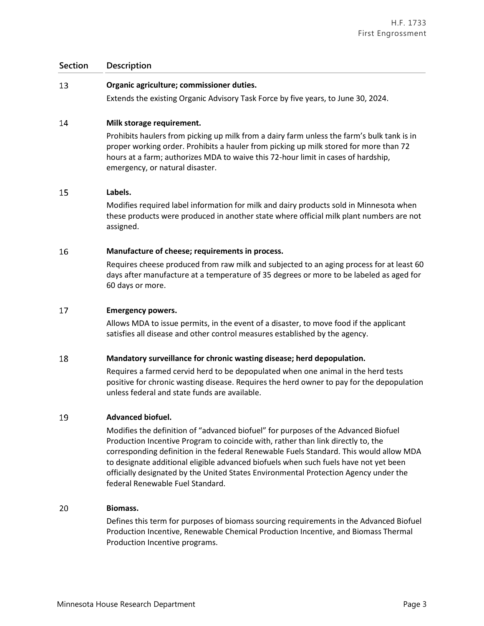#### 13 **Organic agriculture; commissioner duties.**

Extends the existing Organic Advisory Task Force by five years, to June 30, 2024.

#### 14 **Milk storage requirement.**

Prohibits haulers from picking up milk from a dairy farm unless the farm's bulk tank is in proper working order. Prohibits a hauler from picking up milk stored for more than 72 hours at a farm; authorizes MDA to waive this 72-hour limit in cases of hardship, emergency, or natural disaster.

#### 15 **Labels.**

Modifies required label information for milk and dairy products sold in Minnesota when these products were produced in another state where official milk plant numbers are not assigned.

#### 16 **Manufacture of cheese; requirements in process.**

Requires cheese produced from raw milk and subjected to an aging process for at least 60 days after manufacture at a temperature of 35 degrees or more to be labeled as aged for 60 days or more.

#### 17 **Emergency powers.**

Allows MDA to issue permits, in the event of a disaster, to move food if the applicant satisfies all disease and other control measures established by the agency.

#### 18 **Mandatory surveillance for chronic wasting disease; herd depopulation.**

Requires a farmed cervid herd to be depopulated when one animal in the herd tests positive for chronic wasting disease. Requires the herd owner to pay for the depopulation unless federal and state funds are available.

#### 19 **Advanced biofuel.**

Modifies the definition of "advanced biofuel" for purposes of the Advanced Biofuel Production Incentive Program to coincide with, rather than link directly to, the corresponding definition in the federal Renewable Fuels Standard. This would allow MDA to designate additional eligible advanced biofuels when such fuels have not yet been officially designated by the United States Environmental Protection Agency under the federal Renewable Fuel Standard.

#### 20 **Biomass.**

Defines this term for purposes of biomass sourcing requirements in the Advanced Biofuel Production Incentive, Renewable Chemical Production Incentive, and Biomass Thermal Production Incentive programs.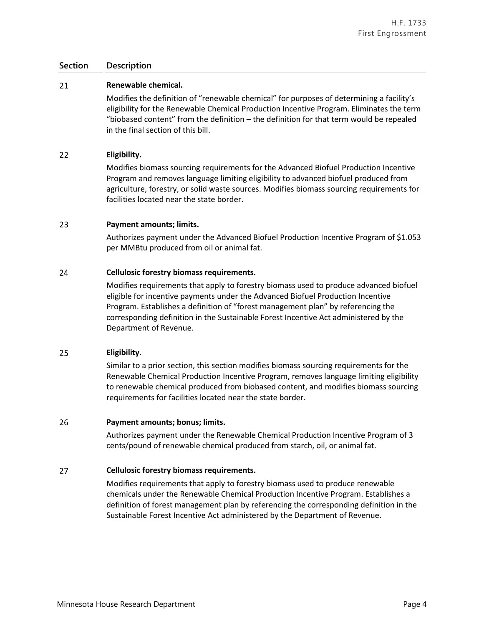#### 21 **Renewable chemical.**

Modifies the definition of "renewable chemical" for purposes of determining a facility's eligibility for the Renewable Chemical Production Incentive Program. Eliminates the term "biobased content" from the definition – the definition for that term would be repealed in the final section of this bill.

#### 22 **Eligibility.**

Modifies biomass sourcing requirements for the Advanced Biofuel Production Incentive Program and removes language limiting eligibility to advanced biofuel produced from agriculture, forestry, or solid waste sources. Modifies biomass sourcing requirements for facilities located near the state border.

#### 23 **Payment amounts; limits.**

Authorizes payment under the Advanced Biofuel Production Incentive Program of \$1.053 per MMBtu produced from oil or animal fat.

#### 24 **Cellulosic forestry biomass requirements.**

Modifies requirements that apply to forestry biomass used to produce advanced biofuel eligible for incentive payments under the Advanced Biofuel Production Incentive Program. Establishes a definition of "forest management plan" by referencing the corresponding definition in the Sustainable Forest Incentive Act administered by the Department of Revenue.

#### 25 **Eligibility.**

Similar to a prior section, this section modifies biomass sourcing requirements for the Renewable Chemical Production Incentive Program, removes language limiting eligibility to renewable chemical produced from biobased content, and modifies biomass sourcing requirements for facilities located near the state border.

#### 26 **Payment amounts; bonus; limits.**

Authorizes payment under the Renewable Chemical Production Incentive Program of 3 cents/pound of renewable chemical produced from starch, oil, or animal fat.

#### 27 **Cellulosic forestry biomass requirements.**

Modifies requirements that apply to forestry biomass used to produce renewable chemicals under the Renewable Chemical Production Incentive Program. Establishes a definition of forest management plan by referencing the corresponding definition in the Sustainable Forest Incentive Act administered by the Department of Revenue.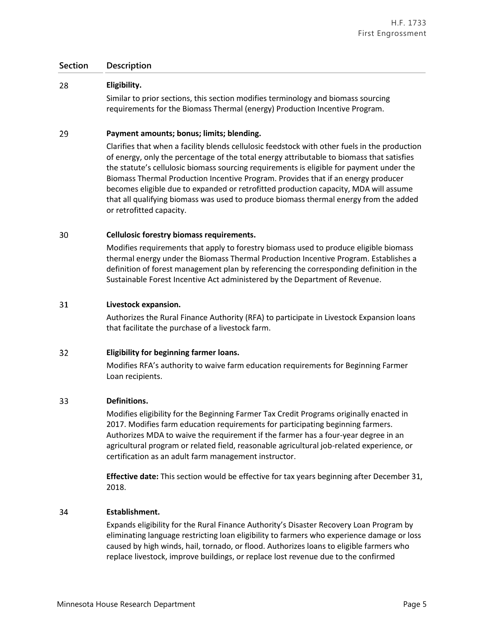#### 28 **Eligibility.**

Similar to prior sections, this section modifies terminology and biomass sourcing requirements for the Biomass Thermal (energy) Production Incentive Program.

#### 29 **Payment amounts; bonus; limits; blending.**

Clarifies that when a facility blends cellulosic feedstock with other fuels in the production of energy, only the percentage of the total energy attributable to biomass that satisfies the statute's cellulosic biomass sourcing requirements is eligible for payment under the Biomass Thermal Production Incentive Program. Provides that if an energy producer becomes eligible due to expanded or retrofitted production capacity, MDA will assume that all qualifying biomass was used to produce biomass thermal energy from the added or retrofitted capacity.

#### 30 **Cellulosic forestry biomass requirements.**

Modifies requirements that apply to forestry biomass used to produce eligible biomass thermal energy under the Biomass Thermal Production Incentive Program. Establishes a definition of forest management plan by referencing the corresponding definition in the Sustainable Forest Incentive Act administered by the Department of Revenue.

#### 31 **Livestock expansion.**

Authorizes the Rural Finance Authority (RFA) to participate in Livestock Expansion loans that facilitate the purchase of a livestock farm.

#### $32<sub>2</sub>$ **Eligibility for beginning farmer loans.**

Modifies RFA's authority to waive farm education requirements for Beginning Farmer Loan recipients.

#### 33 **Definitions.**

Modifies eligibility for the Beginning Farmer Tax Credit Programs originally enacted in 2017. Modifies farm education requirements for participating beginning farmers. Authorizes MDA to waive the requirement if the farmer has a four-year degree in an agricultural program or related field, reasonable agricultural job-related experience, or certification as an adult farm management instructor.

**Effective date:** This section would be effective for tax years beginning after December 31, 2018.

#### 34 **Establishment.**

Expands eligibility for the Rural Finance Authority's Disaster Recovery Loan Program by eliminating language restricting loan eligibility to farmers who experience damage or loss caused by high winds, hail, tornado, or flood. Authorizes loans to eligible farmers who replace livestock, improve buildings, or replace lost revenue due to the confirmed